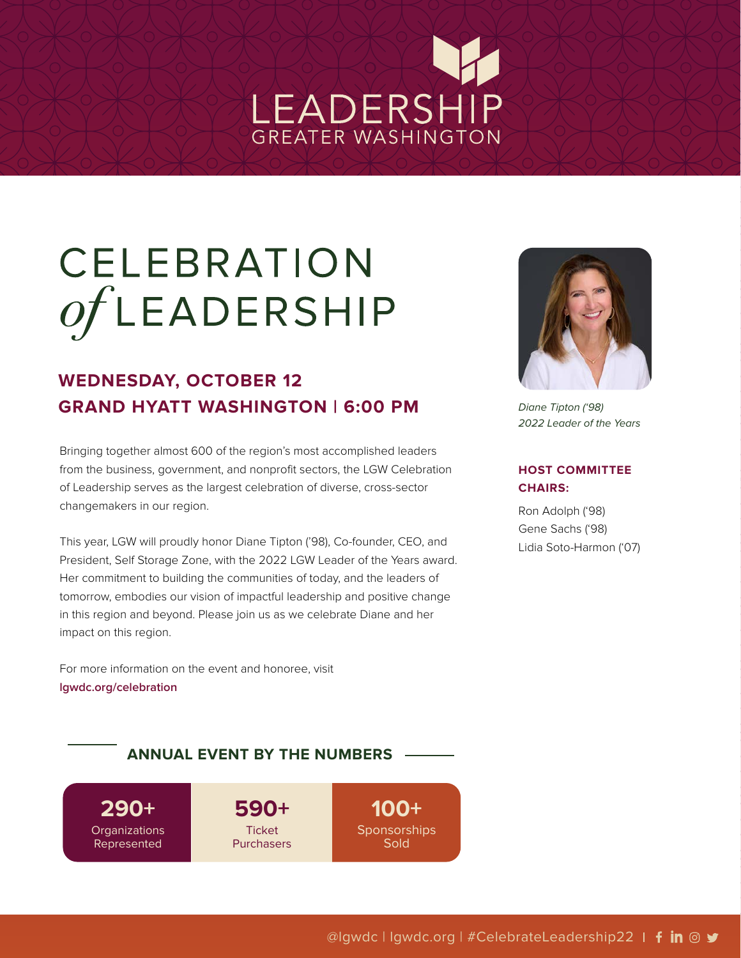# LEADERSHIP GREATER WASHINGTON

# CELEBRATION  $of$ LEADERSHIP

### **WEDNESDAY, OCTOBER 12 GRAND HYATT WASHINGTON | 6:00 PM**

Bringing together almost 600 of the region's most accomplished leaders from the business, government, and nonprofit sectors, the LGW Celebration of Leadership serves as the largest celebration of diverse, cross-sector changemakers in our region.

This year, LGW will proudly honor Diane Tipton ('98), Co-founder, CEO, and President, Self Storage Zone, with the 2022 LGW Leader of the Years award. Her commitment to building the communities of today, and the leaders of tomorrow, embodies our vision of impactful leadership and positive change in this region and beyond. Please join us as we celebrate Diane and her impact on this region.

For more information on the event and honoree, visit **[lgwdc.org/celebration](http://lgwdc.org/celebration)**



*Diane Tipton ('98) 2022 Leader of the Years*

#### **HOST COMMITTEE CHAIRS:**

Ron Adolph ('98) Gene Sachs ('98) Lidia Soto-Harmon ('07)

### **ANNUAL EVENT BY THE NUMBERS**

**290+ Organizations** Represented

**590+ Ticket** Purchasers

**100+ Sponsorships Sold**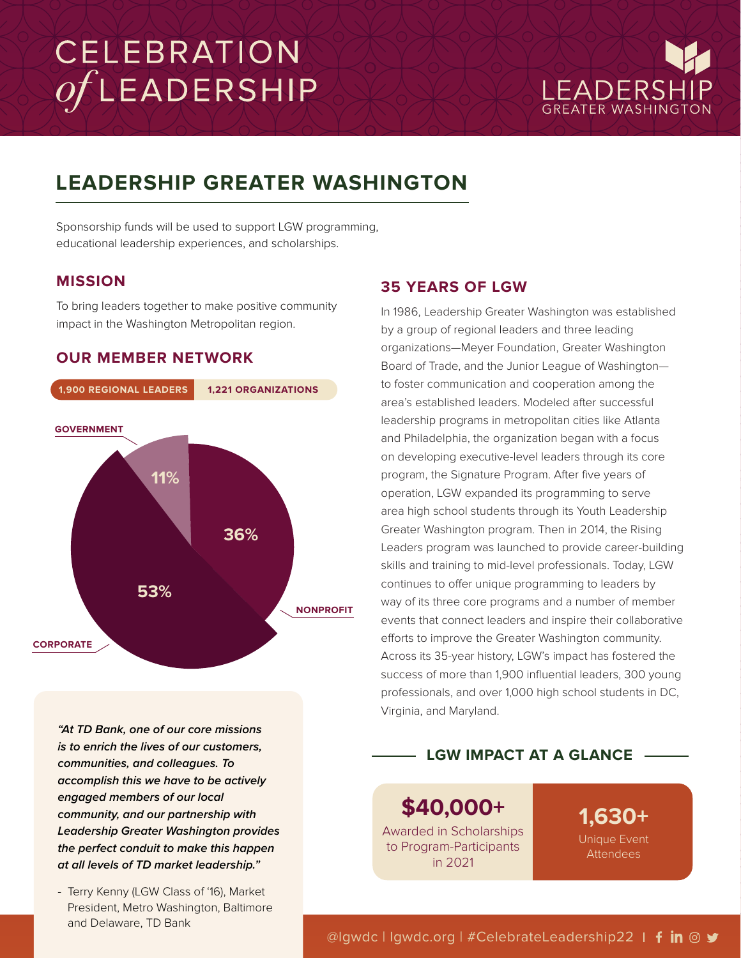# CELEBRATION OFLEADERSHIP



### **LEADERSHIP GREATER WASHINGTON**

Sponsorship funds will be used to support LGW programming, educational leadership experiences, and scholarships.

### **MISSION**

To bring leaders together to make positive community impact in the Washington Metropolitan region.

### **OUR MEMBER NETWORK**



*"At TD Bank, one of our core missions is to enrich the lives of our customers, communities, and colleagues. To accomplish this we have to be actively engaged members of our local community, and our partnership with Leadership Greater Washington provides the perfect conduit to make this happen at all levels of TD market leadership."*

- Terry Kenny (LGW Class of '16), Market President, Metro Washington, Baltimore and Delaware, TD Bank

### **35 YEARS OF LGW**

In 1986, Leadership Greater Washington was established by a group of regional leaders and three leading organizations—Meyer Foundation, Greater Washington Board of Trade, and the Junior League of Washington to foster communication and cooperation among the area's established leaders. Modeled after successful leadership programs in metropolitan cities like Atlanta and Philadelphia, the organization began with a focus on developing executive-level leaders through its core program, the Signature Program. After five years of operation, LGW expanded its programming to serve area high school students through its Youth Leadership Greater Washington program. Then in 2014, the Rising Leaders program was launched to provide career-building skills and training to mid-level professionals. Today, LGW continues to offer unique programming to leaders by way of its three core programs and a number of member events that connect leaders and inspire their collaborative efforts to improve the Greater Washington community. Across its 35-year history, LGW's impact has fostered the success of more than 1,900 influential leaders, 300 young professionals, and over 1,000 high school students in DC, Virginia, and Maryland.

### **LGW IMPACT AT A GLANCE**

**\$40,000+**  Awarded in Scholarships to Program-Participants in 2021

**1,630+**  Unique Event Attendees

@lgwdc | lgwdc.org | #CelebrateLeadership22 | fin @ y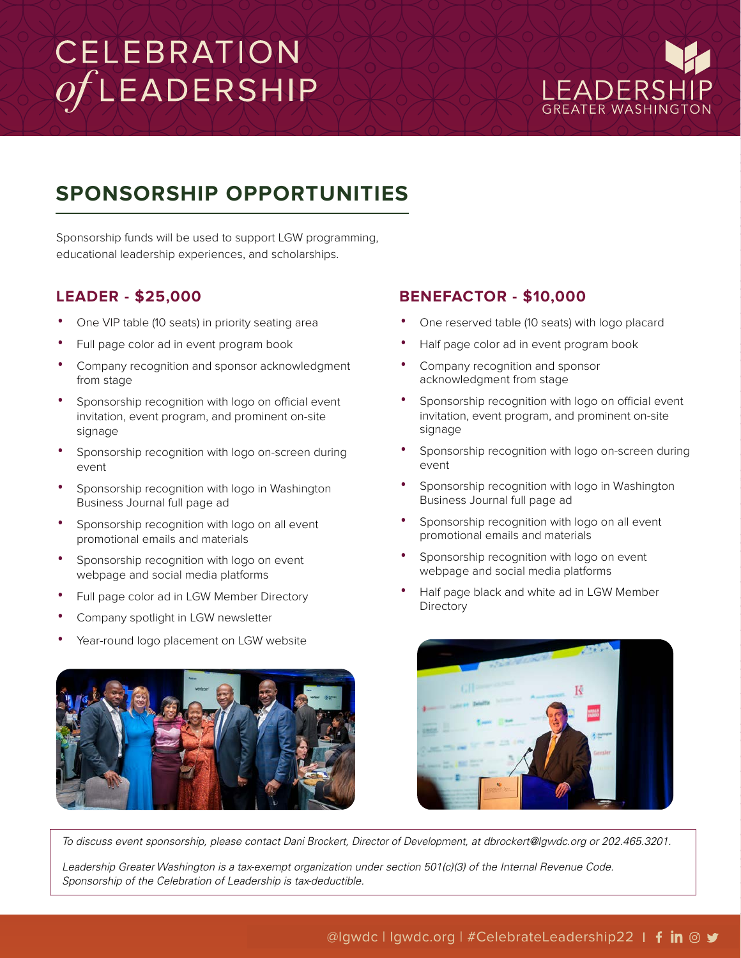# CELEBRATION  $of$ LEADERSHIP



### **SPONSORSHIP OPPORTUNITIES**

Sponsorship funds will be used to support LGW programming, educational leadership experiences, and scholarships.

### **LEADER - \$25,000**

- One VIP table (10 seats) in priority seating area
- Full page color ad in event program book
- Company recognition and sponsor acknowledgment from stage
- Sponsorship recognition with logo on official event invitation, event program, and prominent on-site signage
- Sponsorship recognition with logo on-screen during event
- Sponsorship recognition with logo in Washington Business Journal full page ad
- Sponsorship recognition with logo on all event promotional emails and materials
- Sponsorship recognition with logo on event webpage and social media platforms
- Full page color ad in LGW Member Directory
- Company spotlight in LGW newsletter
- Year-round logo placement on LGW website



### **BENEFACTOR - \$10,000**

- One reserved table (10 seats) with logo placard
- Half page color ad in event program book
- Company recognition and sponsor acknowledgment from stage
- Sponsorship recognition with logo on official event invitation, event program, and prominent on-site signage
- Sponsorship recognition with logo on-screen during event
- Sponsorship recognition with logo in Washington Business Journal full page ad
- Sponsorship recognition with logo on all event promotional emails and materials
- Sponsorship recognition with logo on event webpage and social media platforms
- Half page black and white ad in LGW Member **Directory**



*To discuss event sponsorship, please contact D*ani Brockert*,* Director of Development, *at d*brockert*[@lgwdc.org](mailto:dbrockert@lgwdc.org) or* 202.465.3201.

Leadership Greater Washington is a tax-exempt organization under section 501(c)(3) of the Internal Revenue Code. *Sponsorship of the Celebration of Leadership is tax-deductible.*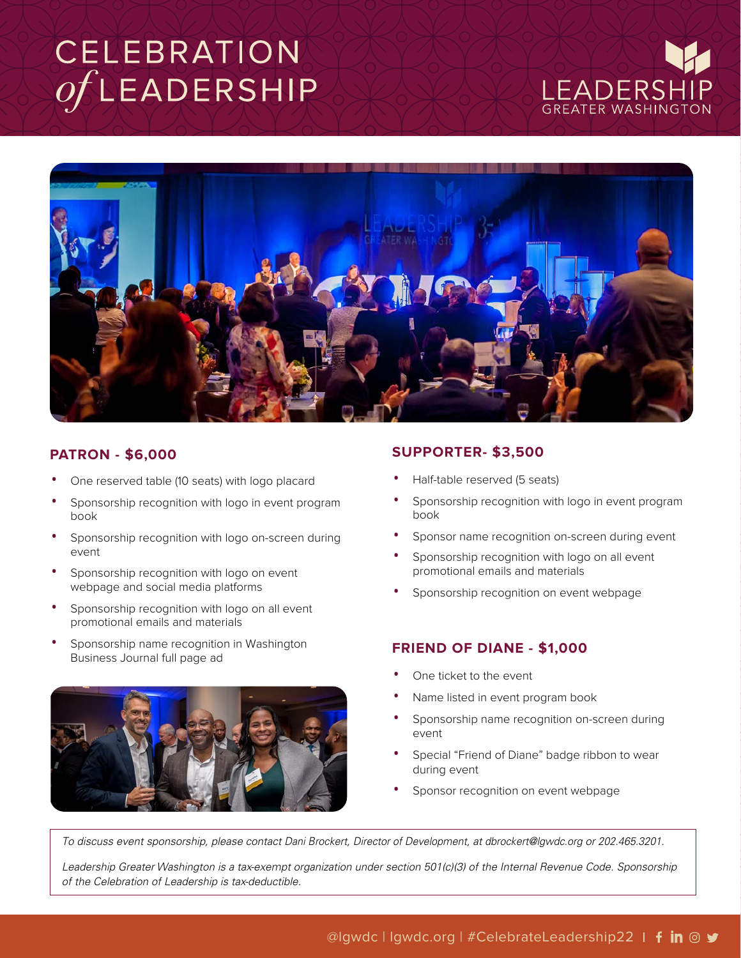## CELEBRATION OFLEADERSHIP





### **PATRON - \$6,000**

- One reserved table (10 seats) with logo placard
- Sponsorship recognition with logo in event program book
- Sponsorship recognition with logo on-screen during event
- Sponsorship recognition with logo on event webpage and social media platforms
- Sponsorship recognition with logo on all event promotional emails and materials
- Sponsorship name recognition in Washington Business Journal full page ad



### **SUPPORTER- \$3,500**

- Half-table reserved (5 seats)
- Sponsorship recognition with logo in event program book
- Sponsor name recognition on-screen during event
- Sponsorship recognition with logo on all event promotional emails and materials
- Sponsorship recognition on event webpage

#### **FRIEND OF DIANE - \$1,000**

- One ticket to the event
- Name listed in event program book
- Sponsorship name recognition on-screen during event
- Special "Friend of Diane" badge ribbon to wear during event
- Sponsor recognition on event webpage

To discuss event sponsorship, please contact Dani Brockert, Director of Development, at dbrockert@lgwdc.org or 202.465.3201.

*Leadership Greater Washington is a tax-exempt organization under section 501(c)(3) of the Internal Revenue Code. Sponsorship of the Celebration of Leadership is tax-deductible.*